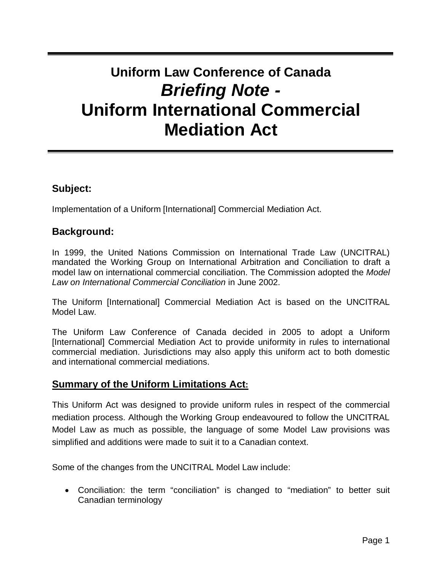# **Uniform Law Conference of Canada Briefing Note - Uniform International Commercial Mediation Act**

# **Subject:**

Implementation of a Uniform [International] Commercial Mediation Act.

# **Background:**

In 1999, the United Nations Commission on International Trade Law (UNCITRAL) mandated the Working Group on International Arbitration and Conciliation to draft a model law on international commercial conciliation. The Commission adopted the Model Law on International Commercial Conciliation in June 2002.

The Uniform [International] Commercial Mediation Act is based on the UNCITRAL Model Law.

The Uniform Law Conference of Canada decided in 2005 to adopt a Uniform [International] Commercial Mediation Act to provide uniformity in rules to international commercial mediation. Jurisdictions may also apply this uniform act to both domestic and international commercial mediations.

### **Summary of the Uniform Limitations Act:**

This Uniform Act was designed to provide uniform rules in respect of the commercial mediation process. Although the Working Group endeavoured to follow the UNCITRAL Model Law as much as possible, the language of some Model Law provisions was simplified and additions were made to suit it to a Canadian context.

Some of the changes from the UNCITRAL Model Law include:

• Conciliation: the term "conciliation" is changed to "mediation" to better suit Canadian terminology